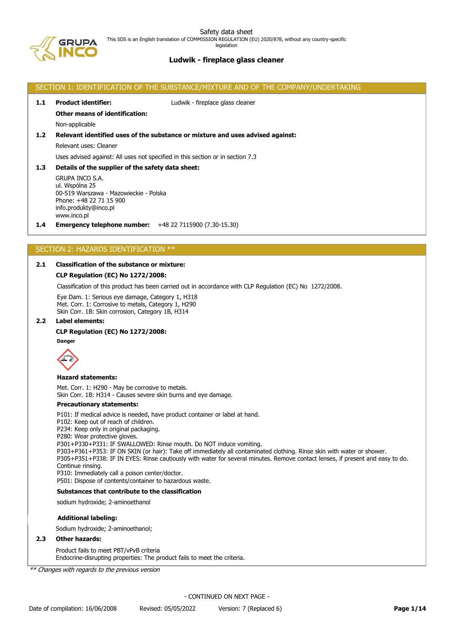Safety data sheet This SDS is an English translation of COMMISSION REGULATION (EU) 2020/878, without any country-specific legislation

# **Ludwik - fireplace glass cleaner**

# SECTION 1: IDENTIFICATION OF THE SUBSTANCE/MIXTURE AND OF THE COMPANY/UNDERTAKING **1.1 Product identifier:** Ludwik - fireplace glass cleaner **Other means of identification:** Non-applicable **1.2 Relevant identified uses of the substance or mixture and uses advised against:** Relevant uses: Cleaner Uses advised against: All uses not specified in this section or in section 7.3 **1.3 Details of the supplier of the safety data sheet:** GRUPA INCO S.A. ul. Wspólna 25 00-519 Warszawa - Mazowieckie - Polska Phone: +48 22 71 15 900 info.produkty@inco.pl

# www.inco.pl

**1.4 Emergency telephone number:** +48 22 7115900 (7.30-15.30)

# SECTION 2: HAZARDS IDENTIFICATION \*\*

# **2.1 Classification of the substance or mixture:**

# **CLP Regulation (EC) No 1272/2008:**

Classification of this product has been carried out in accordance with CLP Regulation (EC) No 1272/2008.

Eye Dam. 1: Serious eye damage, Category 1, H318 Met. Corr. 1: Corrosive to metals, Category 1, H290 Skin Corr. 1B: Skin corrosion, Category 1B, H314

# **2.2 Label elements:**

### **CLP Regulation (EC) No 1272/2008:**



### **Hazard statements:**

Met. Corr. 1: H290 - May be corrosive to metals. Skin Corr. 1B: H314 - Causes severe skin burns and eye damage.

## **Precautionary statements:**

P101: If medical advice is needed, have product container or label at hand.

P102: Keep out of reach of children.

P234: Keep only in original packaging.

P280: Wear protective gloves.

P301+P330+P331: IF SWALLOWED: Rinse mouth. Do NOT induce vomiting.

P303+P361+P353: IF ON SKIN (or hair): Take off immediately all contaminated clothing. Rinse skin with water or shower. P305+P351+P338: IF IN EYES: Rinse cautiously with water for several minutes. Remove contact lenses, if present and easy to do. Continue rinsing.

P310: Immediately call a poison center/doctor.

P501: Dispose of contents/container to hazardous waste.

# **Substances that contribute to the classification**

sodium hydroxide; 2-aminoethanol

### **Additional labeling:**

Sodium hydroxide; 2-aminoethanol;

## **2.3 Other hazards:**

Product fails to meet PBT/vPvB criteria Endocrine-disrupting properties: The product fails to meet the criteria.

\*\* Changes with regards to the previous version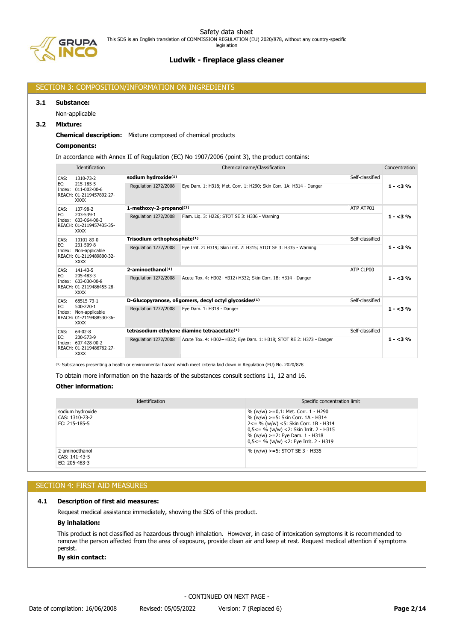

# SECTION 3: COMPOSITION/INFORMATION ON INGREDIENTS

#### **3.1 Substance:**

Non-applicable

## **3.2 Mixture:**

## **Chemical description:** Mixture composed of chemical products

## **Components:**

In accordance with Annex II of Regulation (EC) No 1907/2006 (point 3), the product contains:

|      | Identification                                                                              | Chemical name/Classification<br>Concentration |                                                                     |                 |           |
|------|---------------------------------------------------------------------------------------------|-----------------------------------------------|---------------------------------------------------------------------|-----------------|-----------|
| CAS: | 1310-73-2                                                                                   | sodium hydroxide(1)                           | Self-classified                                                     |                 |           |
| EC:  | 215-185-5<br>Index: 011-002-00-6<br>REACH: 01-2119457892-27-<br><b>XXXX</b>                 | Regulation 1272/2008                          | Eye Dam. 1: H318; Met. Corr. 1: H290; Skin Corr. 1A: H314 - Danger  |                 | $1 - 3\%$ |
| CAS: | 107-98-2                                                                                    | 1-methoxy-2-propanol(1)                       | ATP ATP01                                                           |                 |           |
| EC:  | 203-539-1<br>Index: 603-064-00-3<br>REACH: 01-2119457435-35-<br><b>XXXX</b>                 | Regulation 1272/2008                          | Flam. Lig. 3: H226; STOT SE 3: H336 - Warning                       |                 | $1 - 3\%$ |
| CAS: | 10101-89-0<br>231-509-8<br>Index: Non-applicable<br>REACH: 01-2119489800-32-<br><b>XXXX</b> | Trisodium orthophosphate <sup>(1)</sup>       | Self-classified                                                     |                 |           |
| EC:  |                                                                                             | Regulation 1272/2008                          | Eye Irrit. 2: H319; Skin Irrit. 2: H315; STOT SE 3: H335 - Warning  |                 | $1 - 3\%$ |
| CAS: | 141-43-5<br>205-483-3<br>Index: 603-030-00-8<br>REACH: 01-2119486455-28-<br><b>XXXX</b>     | $2$ -aminoethano $(1)$                        | ATP CLP00                                                           |                 |           |
| EC:  |                                                                                             | Regulation 1272/2008                          | Acute Tox, 4: H302+H312+H332: Skin Corr, 1B: H314 - Danger          |                 | $1 - 3\%$ |
| CAS: | 68515-73-1                                                                                  |                                               | D-Glucopyranose, oligomers, decyl octyl glycosides <sup>(1)</sup>   | Self-classified |           |
| EC:  | 500-220-1<br>Index: Non-applicable<br>REACH: 01-2119488530-36-<br><b>XXXX</b>               | Regulation 1272/2008                          | Eye Dam. 1: H318 - Danger                                           |                 | $1 - 3\%$ |
| CAS: | $64-02-8$                                                                                   |                                               | tetrasodium ethylene diamine tetraacetate <sup>(1)</sup>            | Self-classified |           |
| EC:  | 200-573-9<br>Index: 607-428-00-2<br>REACH: 01-2119486762-27-<br><b>XXXX</b>                 | Regulation 1272/2008                          | Acute Tox. 4: H302+H332; Eye Dam. 1: H318; STOT RE 2: H373 - Danger |                 | $1 - 3\%$ |

<sup>(1)</sup> Substances presenting a health or environmental hazard which meet criteria laid down in Regulation (EU) No. 2020/878

To obtain more information on the hazards of the substances consult sections 11, 12 and 16.

## **Other information:**

| <b>Identification</b>                               | Specific concentration limit                                                                                                                                                                                                                                 |
|-----------------------------------------------------|--------------------------------------------------------------------------------------------------------------------------------------------------------------------------------------------------------------------------------------------------------------|
| sodium hydroxide<br>CAS: 1310-73-2<br>EC: 215-185-5 | % (w/w) >=0,1: Met. Corr. 1 - H290<br>% (w/w) >=5: Skin Corr. 1A - H314<br>$2 \le$ = % (w/w) <5: Skin Corr. 1B - H314<br>$0.5<=$ % (w/w) <2: Skin Irrit. 2 - H315<br>$% (w/w)$ >=2: Eye Dam. 1 - H318<br>$0.5 \leq x \leq 96$ (w/w) < 2: Eye Irrit. 2 - H319 |
| 2-aminoethanol<br>CAS: 141-43-5<br>EC: 205-483-3    | % (w/w) $>=5$ : STOT SE 3 - H335                                                                                                                                                                                                                             |

# SECTION 4: FIRST AID MEASURES

### **4.1 Description of first aid measures:**

Request medical assistance immediately, showing the SDS of this product.

# **By inhalation:**

This product is not classified as hazardous through inhalation. However, in case of intoxication symptoms it is recommended to remove the person affected from the area of exposure, provide clean air and keep at rest. Request medical attention if symptoms persist.

## **By skin contact:**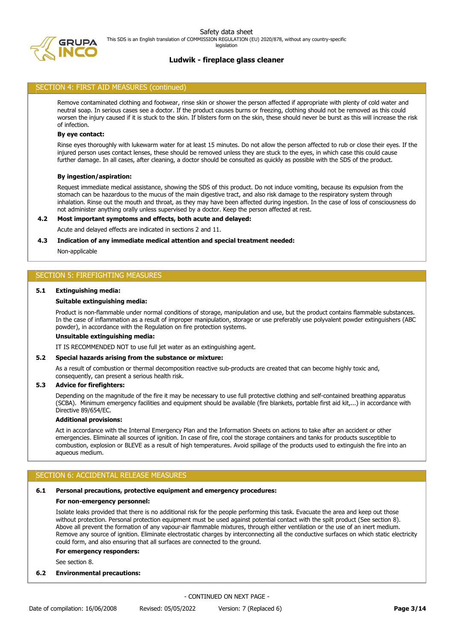

## SECTION 4: FIRST AID MEASURES (continued)

Remove contaminated clothing and footwear, rinse skin or shower the person affected if appropriate with plenty of cold water and neutral soap. In serious cases see a doctor. If the product causes burns or freezing, clothing should not be removed as this could worsen the injury caused if it is stuck to the skin. If blisters form on the skin, these should never be burst as this will increase the risk of infection.

### **By eye contact:**

Rinse eyes thoroughly with lukewarm water for at least 15 minutes. Do not allow the person affected to rub or close their eyes. If the injured person uses contact lenses, these should be removed unless they are stuck to the eyes, in which case this could cause further damage. In all cases, after cleaning, a doctor should be consulted as quickly as possible with the SDS of the product.

#### **By ingestion/aspiration:**

Request immediate medical assistance, showing the SDS of this product. Do not induce vomiting, because its expulsion from the stomach can be hazardous to the mucus of the main digestive tract, and also risk damage to the respiratory system through inhalation. Rinse out the mouth and throat, as they may have been affected during ingestion. In the case of loss of consciousness do not administer anything orally unless supervised by a doctor. Keep the person affected at rest.

### **4.2 Most important symptoms and effects, both acute and delayed:**

Acute and delayed effects are indicated in sections 2 and 11.

### **4.3 Indication of any immediate medical attention and special treatment needed:**

Non-applicable

### SECTION 5: FIREFIGHTING MEASURES

#### **5.1 Extinguishing media:**

#### **Suitable extinguishing media:**

Product is non-flammable under normal conditions of storage, manipulation and use, but the product contains flammable substances. In the case of inflammation as a result of improper manipulation, storage or use preferably use polyvalent powder extinguishers (ABC powder), in accordance with the Regulation on fire protection systems.

### **Unsuitable extinguishing media:**

IT IS RECOMMENDED NOT to use full jet water as an extinguishing agent.

### **5.2 Special hazards arising from the substance or mixture:**

As a result of combustion or thermal decomposition reactive sub-products are created that can become highly toxic and, consequently, can present a serious health risk.

### **5.3 Advice for firefighters:**

Depending on the magnitude of the fire it may be necessary to use full protective clothing and self-contained breathing apparatus (SCBA). Minimum emergency facilities and equipment should be available (fire blankets, portable first aid kit,...) in accordance with Directive 89/654/EC.

## **Additional provisions:**

Act in accordance with the Internal Emergency Plan and the Information Sheets on actions to take after an accident or other emergencies. Eliminate all sources of ignition. In case of fire, cool the storage containers and tanks for products susceptible to combustion, explosion or BLEVE as a result of high temperatures. Avoid spillage of the products used to extinguish the fire into an aqueous medium.

# SECTION 6: ACCIDENTAL RELEASE MEASURES

#### **6.1 Personal precautions, protective equipment and emergency procedures:**

#### **For non-emergency personnel:**

Isolate leaks provided that there is no additional risk for the people performing this task. Evacuate the area and keep out those without protection. Personal protection equipment must be used against potential contact with the spilt product (See section 8). Above all prevent the formation of any vapour-air flammable mixtures, through either ventilation or the use of an inert medium. Remove any source of ignition. Eliminate electrostatic charges by interconnecting all the conductive surfaces on which static electricity could form, and also ensuring that all surfaces are connected to the ground.

#### **For emergency responders:**

See section 8.

## **6.2 Environmental precautions:**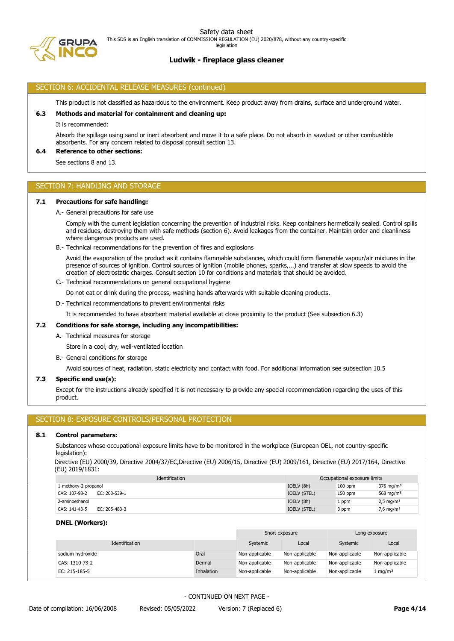legislation



# **Ludwik - fireplace glass cleaner**

# SECTION 6: ACCIDENTAL RELEASE MEASURES (continued)

This product is not classified as hazardous to the environment. Keep product away from drains, surface and underground water.

## **6.3 Methods and material for containment and cleaning up:**

It is recommended:

Absorb the spillage using sand or inert absorbent and move it to a safe place. Do not absorb in sawdust or other combustible absorbents. For any concern related to disposal consult section 13.

### **6.4 Reference to other sections:**

See sections 8 and 13.

# SECTION 7: HANDLING AND STORAGE

### **7.1 Precautions for safe handling:**

A.- General precautions for safe use

Comply with the current legislation concerning the prevention of industrial risks. Keep containers hermetically sealed. Control spills and residues, destroying them with safe methods (section 6). Avoid leakages from the container. Maintain order and cleanliness where dangerous products are used.

B.- Technical recommendations for the prevention of fires and explosions

Avoid the evaporation of the product as it contains flammable substances, which could form flammable vapour/air mixtures in the presence of sources of ignition. Control sources of ignition (mobile phones, sparks,...) and transfer at slow speeds to avoid the creation of electrostatic charges. Consult section 10 for conditions and materials that should be avoided.

C.- Technical recommendations on general occupational hygiene

Do not eat or drink during the process, washing hands afterwards with suitable cleaning products.

D.- Technical recommendations to prevent environmental risks

It is recommended to have absorbent material available at close proximity to the product (See subsection 6.3)

# **7.2 Conditions for safe storage, including any incompatibilities:**

A.- Technical measures for storage

Store in a cool, dry, well-ventilated location

B.- General conditions for storage

Avoid sources of heat, radiation, static electricity and contact with food. For additional information see subsection 10.5

## **7.3 Specific end use(s):**

Except for the instructions already specified it is not necessary to provide any special recommendation regarding the uses of this product.

# SECTION 8: EXPOSURE CONTROLS/PERSONAL PROTECTION

### **8.1 Control parameters:**

Substances whose occupational exposure limits have to be monitored in the workplace (European OEL, not country-specific legislation):

Directive (EU) 2000/39, Directive 2004/37/EC,Directive (EU) 2006/15, Directive (EU) 2009/161, Directive (EU) 2017/164, Directive (EU) 2019/1831:

| Identification                 | Occupational exposure limits |           |                         |
|--------------------------------|------------------------------|-----------|-------------------------|
| 1-methoxy-2-propanol           | IOELV (8h)                   | $100$ ppm | $375 \text{ mg/m}^3$    |
| EC: 203-539-1<br>CAS: 107-98-2 | IOELV (STEL)                 | $150$ ppm | 568 mg/m <sup>3</sup>   |
| 2-aminoethanol                 | IOELV (8h)                   | . ppm     | $2,5$ mg/m <sup>3</sup> |
| CAS: 141-43-5<br>EC: 205-483-3 | IOELV (STEL)                 | 3 ppm     | 7,6 mg/m <sup>3</sup>   |

## **DNEL (Workers):**

|                  |            | Short exposure |                | Long exposure  |                     |
|------------------|------------|----------------|----------------|----------------|---------------------|
| Identification   |            | Systemic       | Local          | Systemic       | Local               |
| sodium hydroxide | Oral       | Non-applicable | Non-applicable | Non-applicable | Non-applicable      |
| CAS: 1310-73-2   | Dermal     | Non-applicable | Non-applicable | Non-applicable | Non-applicable      |
| EC: 215-185-5    | Inhalation | Non-applicable | Non-applicable | Non-applicable | l mg/m <sup>3</sup> |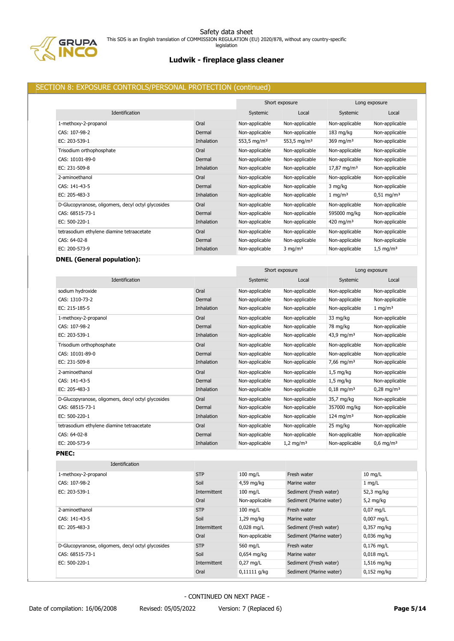

Safety data sheet This SDS is an English translation of COMMISSION REGULATION (EU) 2020/878, without any country-specific legislation

# **Ludwik - fireplace glass cleaner**

# SECTION 8: EXPOSURE CONTROLS/PERSONAL PROTECTION (continued)

|                                                    |            |                         | Short exposure          |                        | Long exposure           |
|----------------------------------------------------|------------|-------------------------|-------------------------|------------------------|-------------------------|
| Identification                                     |            | Systemic                | Local                   | Systemic               | Local                   |
| 1-methoxy-2-propanol                               | Oral       | Non-applicable          | Non-applicable          | Non-applicable         | Non-applicable          |
| CAS: 107-98-2                                      | Dermal     | Non-applicable          | Non-applicable          | $183$ mg/kg            | Non-applicable          |
| EC: 203-539-1                                      | Inhalation | 553,5 mg/m <sup>3</sup> | 553,5 mg/m <sup>3</sup> | 369 mg/m <sup>3</sup>  | Non-applicable          |
| Trisodium orthophosphate                           | Oral       | Non-applicable          | Non-applicable          | Non-applicable         | Non-applicable          |
| CAS: 10101-89-0                                    | Dermal     | Non-applicable          | Non-applicable          | Non-applicable         | Non-applicable          |
| EC: 231-509-8                                      | Inhalation | Non-applicable          | Non-applicable          | $17,87 \text{ mg/m}^3$ | Non-applicable          |
| 2-aminoethanol                                     | Oral       | Non-applicable          | Non-applicable          | Non-applicable         | Non-applicable          |
| CAS: 141-43-5                                      | Dermal     | Non-applicable          | Non-applicable          | 3 mg/kg                | Non-applicable          |
| EC: 205-483-3                                      | Inhalation | Non-applicable          | Non-applicable          | $1 \text{ mg/m}^3$     | $0.51 \text{ mg/m}^3$   |
| D-Glucopyranose, oligomers, decyl octyl glycosides | Oral       | Non-applicable          | Non-applicable          | Non-applicable         | Non-applicable          |
| CAS: 68515-73-1                                    | Dermal     | Non-applicable          | Non-applicable          | 595000 mg/kg           | Non-applicable          |
| EC: 500-220-1                                      | Inhalation | Non-applicable          | Non-applicable          | 420 mg/m <sup>3</sup>  | Non-applicable          |
| tetrasodium ethylene diamine tetraacetate          | Oral       | Non-applicable          | Non-applicable          | Non-applicable         | Non-applicable          |
| CAS: 64-02-8                                       | Dermal     | Non-applicable          | Non-applicable          | Non-applicable         | Non-applicable          |
| EC: 200-573-9                                      | Inhalation | Non-applicable          | $3$ mg/m <sup>3</sup>   | Non-applicable         | $1,5 \,\mathrm{mg/m^3}$ |

# **DNEL (General population):**

|                                                    |                   | Short exposure |                         | Long exposure           |                         |
|----------------------------------------------------|-------------------|----------------|-------------------------|-------------------------|-------------------------|
| Identification                                     |                   | Systemic       | Local                   | Systemic                | Local                   |
| sodium hydroxide                                   | Oral              | Non-applicable | Non-applicable          | Non-applicable          | Non-applicable          |
| CAS: 1310-73-2                                     | Dermal            | Non-applicable | Non-applicable          | Non-applicable          | Non-applicable          |
| EC: 215-185-5                                      | <b>Inhalation</b> | Non-applicable | Non-applicable          | Non-applicable          | $1 \text{ mg/m}^3$      |
| 1-methoxy-2-propanol                               | Oral              | Non-applicable | Non-applicable          | 33 mg/kg                | Non-applicable          |
| CAS: 107-98-2                                      | Dermal            | Non-applicable | Non-applicable          | 78 mg/kg                | Non-applicable          |
| EC: 203-539-1                                      | <b>Inhalation</b> | Non-applicable | Non-applicable          | 43,9 mg/m <sup>3</sup>  | Non-applicable          |
| Trisodium orthophosphate                           | Oral              | Non-applicable | Non-applicable          | Non-applicable          | Non-applicable          |
| CAS: 10101-89-0                                    | Dermal            | Non-applicable | Non-applicable          | Non-applicable          | Non-applicable          |
| EC: 231-509-8                                      | Inhalation        | Non-applicable | Non-applicable          | 7,66 mg/m <sup>3</sup>  | Non-applicable          |
| 2-aminoethanol                                     | Oral              | Non-applicable | Non-applicable          | $1,5$ mg/kg             | Non-applicable          |
| CAS: 141-43-5                                      | Dermal            | Non-applicable | Non-applicable          | $1.5$ mg/kg             | Non-applicable          |
| EC: 205-483-3                                      | <b>Inhalation</b> | Non-applicable | Non-applicable          | $0,18 \text{ mg/m}^3$   | $0,28 \text{ mg/m}^3$   |
| D-Glucopyranose, oligomers, decyl octyl glycosides | Oral              | Non-applicable | Non-applicable          | 35,7 mg/kg              | Non-applicable          |
| CAS: 68515-73-1                                    | Dermal            | Non-applicable | Non-applicable          | 357000 mg/kg            | Non-applicable          |
| EC: 500-220-1                                      | <b>Inhalation</b> | Non-applicable | Non-applicable          | $124$ mg/m <sup>3</sup> | Non-applicable          |
| tetrasodium ethylene diamine tetraacetate          | Oral              | Non-applicable | Non-applicable          | 25 mg/kg                | Non-applicable          |
| CAS: 64-02-8                                       | Dermal            | Non-applicable | Non-applicable          | Non-applicable          | Non-applicable          |
| EC: 200-573-9                                      | Inhalation        | Non-applicable | $1,2$ mg/m <sup>3</sup> | Non-applicable          | $0,6$ mg/m <sup>3</sup> |
| <b>PNEC:</b>                                       |                   |                |                         |                         |                         |
| $-1$ $-1$                                          |                   |                |                         |                         |                         |

| Identification                                     |              |                |                         |                   |
|----------------------------------------------------|--------------|----------------|-------------------------|-------------------|
| 1-methoxy-2-propanol                               | <b>STP</b>   | $100$ mg/L     | Fresh water             | $10 \text{ mg/L}$ |
| CAS: 107-98-2                                      | Soil         | 4,59 mg/kg     | Marine water            | $1 \text{mq/L}$   |
| EC: 203-539-1                                      | Intermittent | $100$ mg/L     | Sediment (Fresh water)  | 52,3 mg/kg        |
|                                                    | Oral         | Non-applicable | Sediment (Marine water) | 5,2 $mg/kg$       |
| 2-aminoethanol                                     | <b>STP</b>   | $100$ mg/L     | Fresh water             | $0.07$ mg/L       |
| CAS: 141-43-5                                      | Soil         | $1,29$ mg/kg   | Marine water            | $0,007$ mg/L      |
| EC: 205-483-3                                      | Intermittent | $0,028$ mg/L   | Sediment (Fresh water)  | $0,357$ mg/kg     |
|                                                    | Oral         | Non-applicable | Sediment (Marine water) | $0.036$ mg/kg     |
| D-Glucopyranose, oligomers, decyl octyl glycosides | <b>STP</b>   | 560 mg/L       | Fresh water             | $0,176$ mg/L      |
| CAS: 68515-73-1                                    | Soil         | $0.654$ mg/kg  | Marine water            | $0.018$ mg/L      |
| EC: 500-220-1                                      | Intermittent | $0.27$ mg/L    | Sediment (Fresh water)  | 1,516 mg/kg       |
|                                                    | Oral         | $0,11111$ g/kg | Sediment (Marine water) | $0.152$ mg/kg     |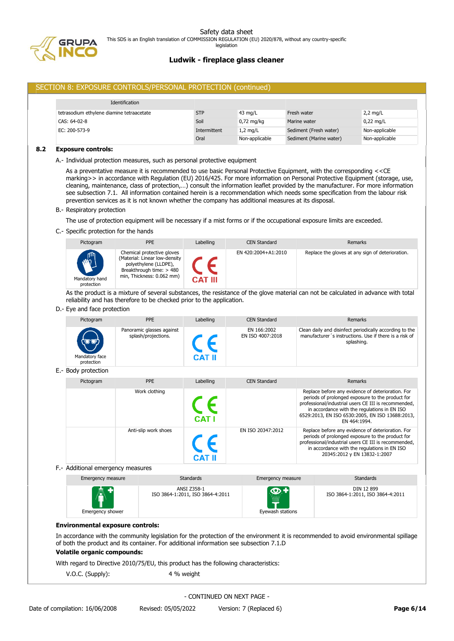

legislation

# **Ludwik - fireplace glass cleaner**

# SECTION 8: EXPOSURE CONTROLS/PERSONAL PROTECTION (continued)

| Identification                            |              |                   |                         |                |
|-------------------------------------------|--------------|-------------------|-------------------------|----------------|
| tetrasodium ethylene diamine tetraacetate | <b>STP</b>   | $43 \text{ mg/L}$ | Fresh water             | $2,2$ mg/L     |
| CAS: 64-02-8                              | Soil         | $0.72$ mg/kg      | Marine water            | $0.22$ mg/L    |
| EC: 200-573-9                             | Intermittent | $1,2$ mg/L        | Sediment (Fresh water)  | Non-applicable |
|                                           | Oral         | Non-applicable    | Sediment (Marine water) | Non-applicable |

### **8.2 Exposure controls:**

A.- Individual protection measures, such as personal protective equipment

As a preventative measure it is recommended to use basic Personal Protective Equipment, with the corresponding <<CE marking>> in accordance with Regulation (EU) 2016/425. For more information on Personal Protective Equipment (storage, use, cleaning, maintenance, class of protection,…) consult the information leaflet provided by the manufacturer. For more information see subsection 7.1. All information contained herein is a recommendation which needs some specification from the labour risk prevention services as it is not known whether the company has additional measures at its disposal.

B.- Respiratory protection

The use of protection equipment will be necessary if a mist forms or if the occupational exposure limits are exceeded.

C.- Specific protection for the hands

| Pictogram                             | <b>PPE</b>                                                                                                                                    | Labelling      | <b>CEN Standard</b> | Remarks                                          |
|---------------------------------------|-----------------------------------------------------------------------------------------------------------------------------------------------|----------------|---------------------|--------------------------------------------------|
| WVIII<br>Mandatory hand<br>protection | Chemical protective gloves<br>(Material: Linear low-density<br>polyethylene (LLDPE),<br>Breakthrough time: > 480<br>min, Thickness: 0.062 mm) | <b>CAT III</b> | EN 420:2004+A1:2010 | Replace the gloves at any sign of deterioration. |

As the product is a mixture of several substances, the resistance of the glove material can not be calculated in advance with total reliability and has therefore to be checked prior to the application.

D.- Eye and face protection

| Pictogram                    | <b>PPE</b>                                       | Labelling | <b>CEN Standard</b>             | Remarks                                                                                                                         |
|------------------------------|--------------------------------------------------|-----------|---------------------------------|---------------------------------------------------------------------------------------------------------------------------------|
| Mandatory face<br>protection | Panoramic glasses against<br>splash/projections. | CAT II    | EN 166:2002<br>EN ISO 4007:2018 | Clean daily and disinfect periodically according to the<br>manufacturer's instructions. Use if there is a risk of<br>splashing. |

# E.- Body protection

| Pictogram | <b>PPE</b>           | Labelling    | <b>CEN Standard</b> | Remarks                                                                                                                                                                                                                                                                          |
|-----------|----------------------|--------------|---------------------|----------------------------------------------------------------------------------------------------------------------------------------------------------------------------------------------------------------------------------------------------------------------------------|
|           | Work clothing        | <b>CAT I</b> |                     | Replace before any evidence of deterioration. For<br>periods of prolonged exposure to the product for<br>professional/industrial users CE III is recommended,<br>in accordance with the regulations in EN ISO<br>6529:2013, EN ISO 6530:2005, EN ISO 13688:2013,<br>EN 464:1994. |
|           | Anti-slip work shoes |              | EN ISO 20347:2012   | Replace before any evidence of deterioration. For<br>periods of prolonged exposure to the product for<br>professional/industrial users CE III is recommended,<br>in accordance with the regulations in EN ISO<br>20345:2012 y EN 13832-1:2007                                    |

F.- Additional emergency measures

| Emergency measure              | <b>Standards</b>                                | Emergency measure                            | <b>Standards</b>                               |
|--------------------------------|-------------------------------------------------|----------------------------------------------|------------------------------------------------|
| AT.<br><b>Emergency shower</b> | ANSI Z358-1<br>ISO 3864-1:2011, ISO 3864-4:2011 | $\bullet$<br><b>WANK</b><br>Eyewash stations | DIN 12 899<br>ISO 3864-1:2011, ISO 3864-4:2011 |

### **Environmental exposure controls:**

In accordance with the community legislation for the protection of the environment it is recommended to avoid environmental spillage of both the product and its container. For additional information see subsection 7.1.D

# **Volatile organic compounds:**

With regard to Directive 2010/75/EU, this product has the following characteristics:

V.O.C. (Supply): 4 % weight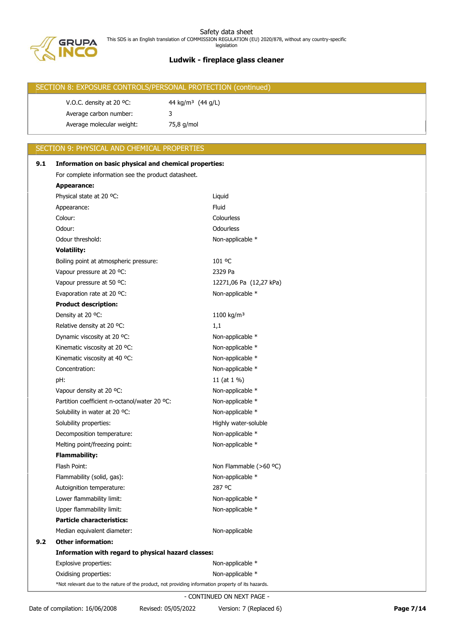

| SECTION 8: EXPOSURE CONTROLS/PERSONAL PROTECTION (continued) |                               |  |  |  |  |
|--------------------------------------------------------------|-------------------------------|--|--|--|--|
| V.O.C. density at 20 $^{\circ}$ C:                           | 44 kg/m <sup>3</sup> (44 g/L) |  |  |  |  |
| Average carbon number:                                       |                               |  |  |  |  |
| Average molecular weight:                                    | 75,8 g/mol                    |  |  |  |  |

# SECTION 9: PHYSICAL AND CHEMICAL PROPERTIES

| 9.1 | Information on basic physical and chemical properties:                                             |                         |  |  |  |
|-----|----------------------------------------------------------------------------------------------------|-------------------------|--|--|--|
|     | For complete information see the product datasheet.                                                |                         |  |  |  |
|     | <b>Appearance:</b>                                                                                 |                         |  |  |  |
|     | Physical state at 20 °C:                                                                           | Liquid                  |  |  |  |
|     | Appearance:                                                                                        | Fluid                   |  |  |  |
|     | Colour:                                                                                            | Colourless              |  |  |  |
|     | Odour:                                                                                             | Odourless               |  |  |  |
|     | Odour threshold:                                                                                   | Non-applicable *        |  |  |  |
|     | <b>Volatility:</b>                                                                                 |                         |  |  |  |
|     | Boiling point at atmospheric pressure:                                                             | 101 °C                  |  |  |  |
|     | Vapour pressure at 20 °C:                                                                          | 2329 Pa                 |  |  |  |
|     | Vapour pressure at 50 °C:                                                                          | 12271,06 Pa (12,27 kPa) |  |  |  |
|     | Evaporation rate at 20 °C:                                                                         | Non-applicable *        |  |  |  |
|     | <b>Product description:</b>                                                                        |                         |  |  |  |
|     | Density at 20 °C:                                                                                  | 1100 kg/m <sup>3</sup>  |  |  |  |
|     | Relative density at 20 °C:                                                                         | 1,1                     |  |  |  |
|     | Dynamic viscosity at 20 °C:                                                                        | Non-applicable *        |  |  |  |
|     | Kinematic viscosity at 20 °C:                                                                      | Non-applicable *        |  |  |  |
|     | Kinematic viscosity at 40 °C:                                                                      | Non-applicable *        |  |  |  |
|     | Concentration:                                                                                     | Non-applicable *        |  |  |  |
|     | pH:                                                                                                | 11 (at 1 %)             |  |  |  |
|     | Vapour density at 20 °C:                                                                           | Non-applicable *        |  |  |  |
|     | Partition coefficient n-octanol/water 20 °C:                                                       | Non-applicable *        |  |  |  |
|     | Solubility in water at 20 °C:                                                                      | Non-applicable *        |  |  |  |
|     | Solubility properties:                                                                             | Highly water-soluble    |  |  |  |
|     | Decomposition temperature:                                                                         | Non-applicable *        |  |  |  |
|     | Melting point/freezing point:                                                                      | Non-applicable *        |  |  |  |
|     | <b>Flammability:</b>                                                                               |                         |  |  |  |
|     | Flash Point:                                                                                       | Non Flammable (>60 °C)  |  |  |  |
|     | Flammability (solid, gas):                                                                         | Non-applicable *        |  |  |  |
|     | Autoignition temperature:                                                                          | 287 °C                  |  |  |  |
|     | Lower flammability limit:                                                                          | Non-applicable *        |  |  |  |
|     | Upper flammability limit:                                                                          | Non-applicable *        |  |  |  |
|     | <b>Particle characteristics:</b>                                                                   |                         |  |  |  |
|     | Median equivalent diameter:                                                                        | Non-applicable          |  |  |  |
| 9.2 | <b>Other information:</b>                                                                          |                         |  |  |  |
|     | Information with regard to physical hazard classes:                                                |                         |  |  |  |
|     | Explosive properties:                                                                              | Non-applicable *        |  |  |  |
|     | Oxidising properties:                                                                              | Non-applicable *        |  |  |  |
|     | *Not relevant due to the nature of the product, not providing information property of its hazards. |                         |  |  |  |
|     | - CONTINUED ON NEXT PAGE -                                                                         |                         |  |  |  |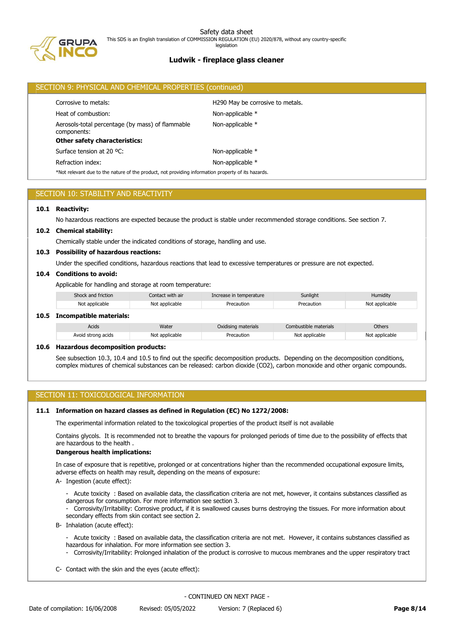

# **Ludwik - fireplace glass cleaner**

|                                      | SECTION 9: PHYSICAL AND CHEMICAL PROPERTIES (continued)                                            |                  |  |  |  |
|--------------------------------------|----------------------------------------------------------------------------------------------------|------------------|--|--|--|
|                                      | H290 May be corrosive to metals.<br>Corrosive to metals:                                           |                  |  |  |  |
|                                      | Heat of combustion:                                                                                | Non-applicable * |  |  |  |
|                                      | Aerosols-total percentage (by mass) of flammable<br>components:                                    | Non-applicable * |  |  |  |
| <b>Other safety characteristics:</b> |                                                                                                    |                  |  |  |  |
|                                      | Surface tension at 20 °C:                                                                          | Non-applicable * |  |  |  |
|                                      | Refraction index:                                                                                  | Non-applicable * |  |  |  |
|                                      | *Not relevant due to the nature of the product, not providing information property of its hazards. |                  |  |  |  |

# SECTION 10: STABILITY AND REACTIVITY

### **10.1 Reactivity:**

**10.5 Incompatible materials:**

No hazardous reactions are expected because the product is stable under recommended storage conditions. See section 7.

### **10.2 Chemical stability:**

Chemically stable under the indicated conditions of storage, handling and use.

### **10.3 Possibility of hazardous reactions:**

Under the specified conditions, hazardous reactions that lead to excessive temperatures or pressure are not expected.

## **10.4 Conditions to avoid:**

Applicable for handling and storage at room temperature:

| Shock and friction      | Contact with air | Increase in temperature | Sunlight   | Humidity       |  |  |  |
|-------------------------|------------------|-------------------------|------------|----------------|--|--|--|
| Not applicable          | Not applicable   | Precaution              | Precaution | Not applicable |  |  |  |
| Incompatible materials: |                  |                         |            |                |  |  |  |

| Acids              | Water          | Oxidising materials | Combustible materials | Others         |
|--------------------|----------------|---------------------|-----------------------|----------------|
| Avoid strong acids | Not applicable | Precaution          | Not applicable        | Not applicable |

### **10.6 Hazardous decomposition products:**

See subsection 10.3, 10.4 and 10.5 to find out the specific decomposition products. Depending on the decomposition conditions, complex mixtures of chemical substances can be released: carbon dioxide (CO2), carbon monoxide and other organic compounds.

## SECTION 11: TOXICOLOGICAL INFORMATION

## **11.1 Information on hazard classes as defined in Regulation (EC) No 1272/2008:**

The experimental information related to the toxicological properties of the product itself is not available

Contains glycols. It is recommended not to breathe the vapours for prolonged periods of time due to the possibility of effects that are hazardous to the health

## **Dangerous health implications:**

In case of exposure that is repetitive, prolonged or at concentrations higher than the recommended occupational exposure limits, adverse effects on health may result, depending on the means of exposure:

A- Ingestion (acute effect):

- Acute toxicity : Based on available data, the classification criteria are not met, however, it contains substances classified as dangerous for consumption. For more information see section 3.

- Corrosivity/Irritability: Corrosive product, if it is swallowed causes burns destroying the tissues. For more information about secondary effects from skin contact see section 2.

B- Inhalation (acute effect):

- Acute toxicity : Based on available data, the classification criteria are not met. However, it contains substances classified as hazardous for inhalation. For more information see section 3.

- Corrosivity/Irritability: Prolonged inhalation of the product is corrosive to mucous membranes and the upper respiratory tract
- C- Contact with the skin and the eyes (acute effect):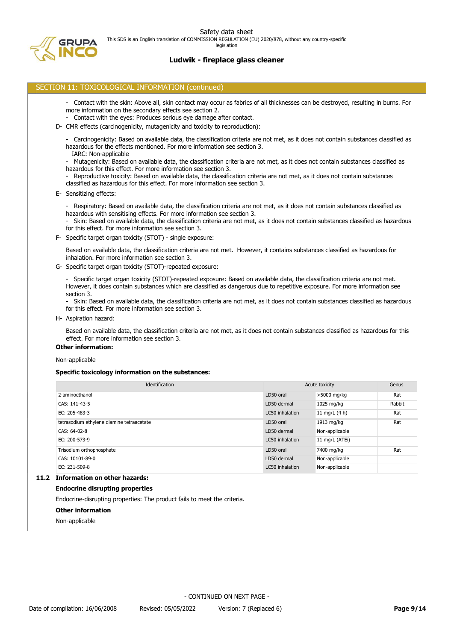legislation



# **Ludwik - fireplace glass cleaner**

## SECTION 11: TOXICOLOGICAL INFORMATION (continued)

- Contact with the skin: Above all, skin contact may occur as fabrics of all thicknesses can be destroyed, resulting in burns. For more information on the secondary effects see section 2.
- Contact with the eyes: Produces serious eye damage after contact.
- D- CMR effects (carcinogenicity, mutagenicity and toxicity to reproduction):
	- Carcinogenicity: Based on available data, the classification criteria are not met, as it does not contain substances classified as hazardous for the effects mentioned. For more information see section 3.
	- IARC: Non-applicable
	- Mutagenicity: Based on available data, the classification criteria are not met, as it does not contain substances classified as hazardous for this effect. For more information see section 3.
	- Reproductive toxicity: Based on available data, the classification criteria are not met, as it does not contain substances classified as hazardous for this effect. For more information see section 3.
- E- Sensitizing effects:
	- Respiratory: Based on available data, the classification criteria are not met, as it does not contain substances classified as hazardous with sensitising effects. For more information see section 3.
	- Skin: Based on available data, the classification criteria are not met, as it does not contain substances classified as hazardous for this effect. For more information see section 3.
- F- Specific target organ toxicity (STOT) single exposure:
	- Based on available data, the classification criteria are not met. However, it contains substances classified as hazardous for inhalation. For more information see section 3.
- G- Specific target organ toxicity (STOT)-repeated exposure:

- Specific target organ toxicity (STOT)-repeated exposure: Based on available data, the classification criteria are not met. However, it does contain substances which are classified as dangerous due to repetitive exposure. For more information see section 3.

- Skin: Based on available data, the classification criteria are not met, as it does not contain substances classified as hazardous for this effect. For more information see section 3.

H- Aspiration hazard:

Based on available data, the classification criteria are not met, as it does not contain substances classified as hazardous for this effect. For more information see section 3.

# **Other information:**

Non-applicable

## **Specific toxicology information on the substances:**

| Identification                              | Acute toxicity  |                 | Genus  |
|---------------------------------------------|-----------------|-----------------|--------|
| 2-aminoethanol                              | LD50 oral       | >5000 mg/kg     | Rat    |
| CAS: 141-43-5                               | LD50 dermal     | 1025 mg/kg      | Rabbit |
| EC: 205-483-3                               | LC50 inhalation | 11 mg/L $(4 h)$ | Rat    |
| tetrasodium ethylene diamine tetraacetate   | LD50 oral       | 1913 mg/kg      | Rat    |
| CAS: 64-02-8                                | LD50 dermal     | Non-applicable  |        |
| EC: 200-573-9                               | LC50 inhalation | 11 mg/L (ATEi)  |        |
| Trisodium orthophosphate                    | LD50 oral       | 7400 mg/kg      | Rat    |
| CAS: 10101-89-0                             | LD50 dermal     | Non-applicable  |        |
| EC: 231-509-8                               | LC50 inhalation | Non-applicable  |        |
| The Communist and a contract the second and |                 |                 |        |

# **11.2 Information on other hazards:**

### **Endocrine disrupting properties**

Endocrine-disrupting properties: The product fails to meet the criteria.

- **Other information**
- Non-applicable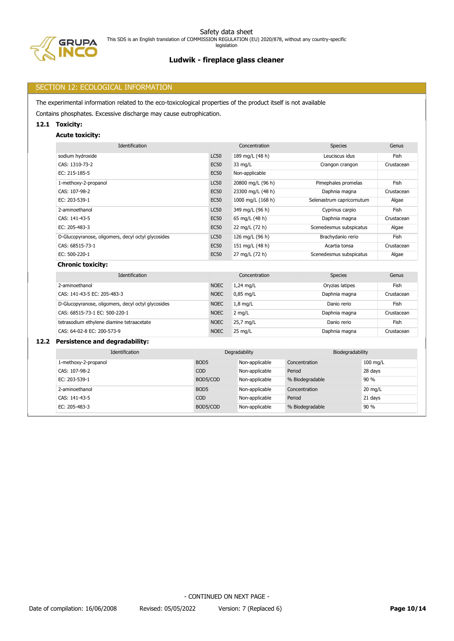



# **Ludwik - fireplace glass cleaner**

# SECTION 12: ECOLOGICAL INFORMATION

The experimental information related to the eco-toxicological properties of the product itself is not available

Contains phosphates. Excessive discharge may cause eutrophication.

# **12.1 Toxicity:**

# **Acute toxicity:**

| Identification                                     |             | Concentration     | <b>Species</b>            | Genus      |
|----------------------------------------------------|-------------|-------------------|---------------------------|------------|
| sodium hydroxide                                   | <b>LC50</b> | 189 mg/L (48 h)   | Leuciscus idus            | Fish       |
| CAS: 1310-73-2                                     | <b>EC50</b> | 33 mg/L           | Crangon crangon           | Crustacean |
| EC: 215-185-5                                      | <b>EC50</b> | Non-applicable    |                           |            |
| 1-methoxy-2-propanol                               | <b>LC50</b> | 20800 mg/L (96 h) | Pimephales promelas       | Fish       |
| CAS: 107-98-2                                      | <b>EC50</b> | 23300 mg/L (48 h) | Daphnia magna             | Crustacean |
| EC: 203-539-1                                      | <b>EC50</b> | 1000 mg/L (168 h) | Selenastrum capricornutum | Algae      |
| 2-aminoethanol                                     | <b>LC50</b> | 349 mg/L (96 h)   | Cyprinus carpio           | Fish       |
| CAS: 141-43-5                                      | <b>EC50</b> | 65 mg/L (48 h)    | Daphnia magna             | Crustacean |
| EC: 205-483-3                                      | <b>EC50</b> | 22 mg/L (72 h)    | Scenedesmus subspicatus   | Algae      |
| D-Glucopyranose, oligomers, decyl octyl glycosides | <b>LC50</b> | 126 mg/L (96 h)   | Brachydanio rerio         | Fish       |
| CAS: 68515-73-1                                    | <b>EC50</b> | 151 mg/L (48 h)   | Acartia tonsa             | Crustacean |
| EC: 500-220-1                                      | <b>EC50</b> | 27 mg/L (72 h)    | Scenedesmus subspicatus   | Algae      |
| <b>Chronic toxicity:</b>                           |             |                   |                           |            |

| Identification                                     |             | Concentration     | <b>Species</b>  | Genus      |
|----------------------------------------------------|-------------|-------------------|-----------------|------------|
| 2-aminoethanol                                     | <b>NOEC</b> | $1,24$ mg/L       | Oryzias latipes | Fish       |
| CAS: 141-43-5 EC: 205-483-3                        | <b>NOEC</b> | $0.85$ mg/L       | Daphnia magna   | Crustacean |
| D-Glucopyranose, oligomers, decyl octyl glycosides | <b>NOEC</b> | $1,8$ mg/L        | Danio rerio     | Fish       |
| CAS: 68515-73-1 EC: 500-220-1                      | <b>NOEC</b> | $2 \text{mq/L}$   | Daphnia magna   | Crustacean |
| tetrasodium ethylene diamine tetraacetate          | <b>NOEC</b> | 25,7 mg/L         | Danio rerio     | Fish       |
| CAS: 64-02-8 EC: 200-573-9                         | <b>NOEC</b> | $25 \text{ mg/L}$ | Daphnia magna   | Crustacean |

# **12.2 Persistence and degradability:**

| Identification       |                  | Degradability  |                 | Biodegradability  |
|----------------------|------------------|----------------|-----------------|-------------------|
| 1-methoxy-2-propanol | BOD <sub>5</sub> | Non-applicable | Concentration   | 100 mg/L          |
| CAS: 107-98-2        | <b>COD</b>       | Non-applicable | Period          | 28 days           |
| EC: 203-539-1        | BOD5/COD         | Non-applicable | % Biodegradable | 90 %              |
| 2-aminoethanol       | BOD <sub>5</sub> | Non-applicable | Concentration   | $20 \text{ mg/L}$ |
| CAS: 141-43-5        | <b>COD</b>       | Non-applicable | Period          | 21 days           |
| EC: 205-483-3        | BOD5/COD         | Non-applicable | % Biodegradable | 90 %              |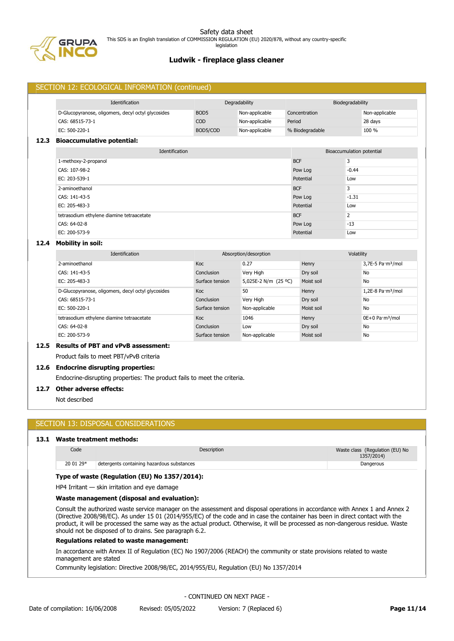

|      | SECTION 12: ECOLOGICAL INFORMATION (continued)     |                  |                       |                 |                           |                                         |
|------|----------------------------------------------------|------------------|-----------------------|-----------------|---------------------------|-----------------------------------------|
|      | Identification                                     |                  | Degradability         |                 | Biodegradability          |                                         |
|      | D-Glucopyranose, oligomers, decyl octyl glycosides | BOD <sub>5</sub> | Non-applicable        | Concentration   |                           | Non-applicable                          |
|      | CAS: 68515-73-1                                    | COD              | Non-applicable        | Period          |                           | 28 days                                 |
|      | EC: 500-220-1                                      | BOD5/COD         | Non-applicable        | % Biodegradable |                           | 100 %                                   |
| 12.3 | <b>Bioaccumulative potential:</b>                  |                  |                       |                 |                           |                                         |
|      | Identification                                     |                  |                       |                 | Bioaccumulation potential |                                         |
|      | 1-methoxy-2-propanol                               |                  |                       | <b>BCF</b>      | 3                         |                                         |
|      | CAS: 107-98-2                                      |                  |                       | Pow Log         | $-0.44$                   |                                         |
|      | EC: 203-539-1                                      |                  |                       | Potential       | Low                       |                                         |
|      | 2-aminoethanol                                     |                  |                       | <b>BCF</b>      | 3                         |                                         |
|      | CAS: 141-43-5                                      |                  |                       | Pow Log         | $-1.31$                   |                                         |
|      | EC: 205-483-3                                      |                  |                       | Potential       | Low                       |                                         |
|      | tetrasodium ethylene diamine tetraacetate          |                  |                       | <b>BCF</b>      | $\overline{2}$            |                                         |
|      | CAS: 64-02-8                                       |                  |                       | Pow Log         | $-13$                     |                                         |
|      | EC: 200-573-9                                      |                  |                       | Potential       | Low                       |                                         |
| 12.4 | <b>Mobility in soil:</b>                           |                  |                       |                 |                           |                                         |
|      | Identification                                     |                  | Absorption/desorption |                 |                           | Volatility                              |
|      | 2-aminoethanol                                     | Koc              | 0.27                  | Henry           |                           | 3,7E-5 Pa·m <sup>3</sup> /mol           |
|      | CAS: 141-43-5                                      | Conclusion       | Very High             | Dry soil        |                           | <b>No</b>                               |
|      | EC: 205-483-3                                      | Surface tension  | 5,025E-2 N/m (25 °C)  | Moist soil      |                           | No                                      |
|      | D-Glucopyranose, oligomers, decyl octyl glycosides | Koc              | 50                    | Henry           |                           | $1,2E-8$ Pa $\cdot$ m <sup>3</sup> /mol |
|      | CAS: 68515-73-1                                    | Conclusion       | Very High             | Dry soil        |                           | <b>No</b>                               |
|      | EC: 500-220-1                                      | Surface tension  | Non-applicable        | Moist soil      |                           | No                                      |
|      | tetrasodium ethylene diamine tetraacetate          | Koc              | 1046                  | Henry           |                           | 0E+0 Pa·m <sup>3</sup> /mol             |
|      | CAS: 64-02-8                                       | Conclusion       | Low                   | Dry soil        |                           | No                                      |
|      | EC: 200-573-9                                      | Surface tension  | Non-applicable        | Moist soil      |                           | No                                      |

# **12.5 Results of PBT and vPvB assessment:**

Product fails to meet PBT/vPvB criteria

#### **12.6 Endocrine disrupting properties:**

Endocrine-disrupting properties: The product fails to meet the criteria.

### **12.7 Other adverse effects:**

Not described

# SECTION 13: DISPOSAL CONSIDERATIONS

## **13.1 Waste treatment methods:**

| Code      | Description                                | Waste class (Regulation (EU) No<br>1357/2014) |
|-----------|--------------------------------------------|-----------------------------------------------|
| 20 01 29* | detergents containing hazardous substances | Dangerous                                     |

## **Type of waste (Regulation (EU) No 1357/2014):**

HP4 Irritant — skin irritation and eye damage

### **Waste management (disposal and evaluation):**

Consult the authorized waste service manager on the assessment and disposal operations in accordance with Annex 1 and Annex 2 (Directive 2008/98/EC). As under 15 01 (2014/955/EC) of the code and in case the container has been in direct contact with the product, it will be processed the same way as the actual product. Otherwise, it will be processed as non-dangerous residue. Waste should not be disposed of to drains. See paragraph 6.2.

### **Regulations related to waste management:**

In accordance with Annex II of Regulation (EC) No 1907/2006 (REACH) the community or state provisions related to waste management are stated

Community legislation: Directive 2008/98/EC, 2014/955/EU, Regulation (EU) No 1357/2014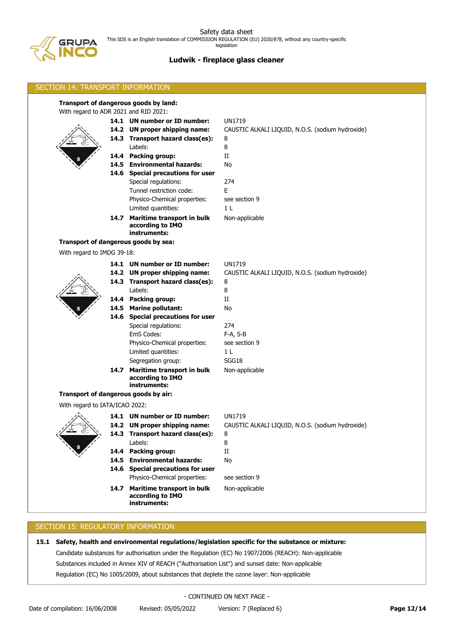# **Ludwik - fireplace glass cleaner**

| SECTION 14: TRANSPORT INFORMATION     |  |                                                                                                                                                                                                                                                                                                                                                                                                |                                                                                                                                                      |  |
|---------------------------------------|--|------------------------------------------------------------------------------------------------------------------------------------------------------------------------------------------------------------------------------------------------------------------------------------------------------------------------------------------------------------------------------------------------|------------------------------------------------------------------------------------------------------------------------------------------------------|--|
| With regard to ADR 2021 and RID 2021: |  | Transport of dangerous goods by land:<br>14.1 UN number or ID number:<br>14.2 UN proper shipping name:<br>14.3 Transport hazard class(es):<br>Labels:<br>14.4 Packing group:<br>14.5 Environmental hazards:<br>14.6 Special precautions for user<br>Special regulations:<br>Tunnel restriction code:<br>Physico-Chemical properties:<br>Limited quantities:<br>14.7 Maritime transport in bulk | <b>UN1719</b><br>CAUSTIC ALKALI LIQUID, N.O.S. (sodium hydroxide)<br>8<br>8<br>$\rm II$<br>No<br>274<br>E.<br>see section 9<br>1 L<br>Non-applicable |  |
|                                       |  | according to IMO<br>instruments:                                                                                                                                                                                                                                                                                                                                                               |                                                                                                                                                      |  |
|                                       |  | Transport of dangerous goods by sea:                                                                                                                                                                                                                                                                                                                                                           |                                                                                                                                                      |  |
| With regard to IMDG 39-18:            |  |                                                                                                                                                                                                                                                                                                                                                                                                |                                                                                                                                                      |  |
|                                       |  | 14.1 UN number or ID number:<br>14.2 UN proper shipping name:<br>14.3 Transport hazard class(es):<br>Labels:                                                                                                                                                                                                                                                                                   | <b>UN1719</b><br>CAUSTIC ALKALI LIQUID, N.O.S. (sodium hydroxide)<br>8<br>8                                                                          |  |
|                                       |  | 14.4 Packing group:<br>14.5 Marine pollutant:<br>14.6 Special precautions for user<br>Special regulations:                                                                                                                                                                                                                                                                                     | $_{\rm II}$<br>No<br>274                                                                                                                             |  |
|                                       |  | EmS Codes:<br>Physico-Chemical properties:<br>Limited quantities:<br>Segregation group:                                                                                                                                                                                                                                                                                                        | F-A, S-B<br>see section 9<br>1 <sub>L</sub><br>SGG18                                                                                                 |  |
|                                       |  | 14.7 Maritime transport in bulk<br>according to IMO<br>instruments:                                                                                                                                                                                                                                                                                                                            | Non-applicable                                                                                                                                       |  |
|                                       |  | Transport of dangerous goods by air:                                                                                                                                                                                                                                                                                                                                                           |                                                                                                                                                      |  |
| With regard to IATA/ICAO 2022:        |  |                                                                                                                                                                                                                                                                                                                                                                                                |                                                                                                                                                      |  |
| €                                     |  | 14.1 UN number or ID number:<br>14.2 UN proper shipping name:<br>14.3 Transport hazard class(es):<br>Labels:<br>14.4 Packing group:                                                                                                                                                                                                                                                            | UN1719<br>CAUSTIC ALKALI LIQUID, N.O.S. (sodium hydroxide)<br>8<br>8<br>$_{\rm II}$                                                                  |  |
|                                       |  | 14.5 Environmental hazards:<br>14.6 Special precautions for user                                                                                                                                                                                                                                                                                                                               | No                                                                                                                                                   |  |
|                                       |  | Physico-Chemical properties:                                                                                                                                                                                                                                                                                                                                                                   | see section 9                                                                                                                                        |  |
|                                       |  | 14.7 Maritime transport in bulk<br>according to IMO<br>instruments:                                                                                                                                                                                                                                                                                                                            | Non-applicable                                                                                                                                       |  |
|                                       |  |                                                                                                                                                                                                                                                                                                                                                                                                |                                                                                                                                                      |  |

# SECTION 15: REGULATORY INFORMATION

**15.1 Safety, health and environmental regulations/legislation specific for the substance or mixture:**

Candidate substances for authorisation under the Regulation (EC) No 1907/2006 (REACH): Non-applicable

Substances included in Annex XIV of REACH ("Authorisation List") and sunset date: Non-applicable

Regulation (EC) No 1005/2009, about substances that deplete the ozone layer: Non-applicable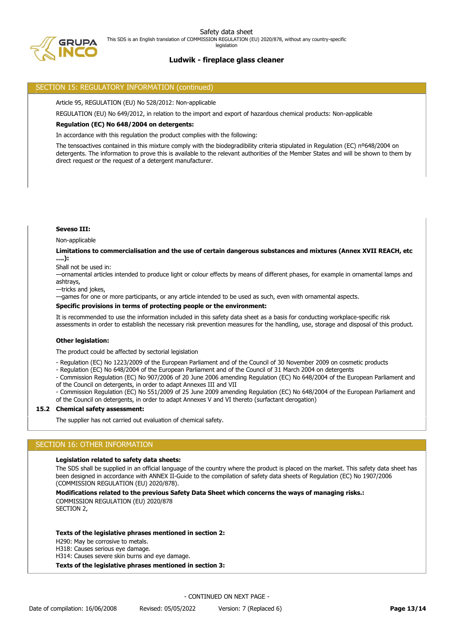legislation



# **Ludwik - fireplace glass cleaner**

# SECTION 15: REGULATORY INFORMATION (continued)

Article 95, REGULATION (EU) No 528/2012: Non-applicable

REGULATION (EU) No 649/2012, in relation to the import and export of hazardous chemical products: Non-applicable

## **Regulation (EC) No 648/2004 on detergents:**

In accordance with this regulation the product complies with the following:

The tensoactives contained in this mixture comply with the biodegradibility criteria stipulated in Regulation (EC) nº648/2004 on detergents. The information to prove this is available to the relevant authorities of the Member States and will be shown to them by direct request or the request of a detergent manufacturer.

## **Seveso III:**

Non-applicable

## **Limitations to commercialisation and the use of certain dangerous substances and mixtures (Annex XVII REACH, etc ….):**

Shall not be used in:

—ornamental articles intended to produce light or colour effects by means of different phases, for example in ornamental lamps and ashtrays,

—tricks and jokes,

—games for one or more participants, or any article intended to be used as such, even with ornamental aspects.

## **Specific provisions in terms of protecting people or the environment:**

It is recommended to use the information included in this safety data sheet as a basis for conducting workplace-specific risk assessments in order to establish the necessary risk prevention measures for the handling, use, storage and disposal of this product.

## **Other legislation:**

The product could be affected by sectorial legislation

- Regulation (EC) No 1223/2009 of the European Parliament and of the Council of 30 November 2009 on cosmetic products

- Regulation (EC) No 648/2004 of the European Parliament and of the Council of 31 March 2004 on detergents

- Commission Regulation (EC) No 907/2006 of 20 June 2006 amending Regulation (EC) No 648/2004 of the European Parliament and of the Council on detergents, in order to adapt Annexes III and VII

- Commission Regulation (EC) No 551/2009 of 25 June 2009 amending Regulation (EC) No 648/2004 of the European Parliament and of the Council on detergents, in order to adapt Annexes V and VI thereto (surfactant derogation)

## **15.2 Chemical safety assessment:**

The supplier has not carried out evaluation of chemical safety.

# SECTION 16: OTHER INFORMATION

### **Legislation related to safety data sheets:**

The SDS shall be supplied in an official language of the country where the product is placed on the market. This safety data sheet has been designed in accordance with ANNEX II-Guide to the compilation of safety data sheets of Regulation (EC) No 1907/2006 (COMMISSION REGULATION (EU) 2020/878).

## **Modifications related to the previous Safety Data Sheet which concerns the ways of managing risks.:**

COMMISSION REGULATION (EU) 2020/878

SECTION 2,

### **Texts of the legislative phrases mentioned in section 2:**

H290: May be corrosive to metals.

H318: Causes serious eye damage.

H314: Causes severe skin burns and eye damage.

### **Texts of the legislative phrases mentioned in section 3:**